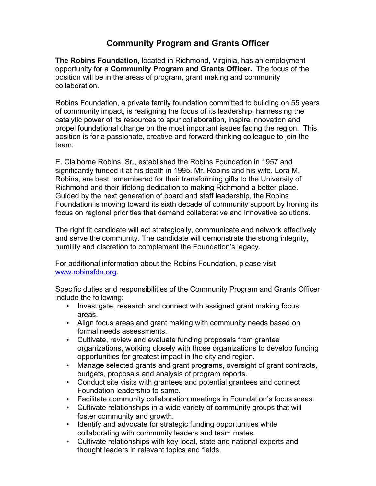## **Community Program and Grants Officer**

**The Robins Foundation,** located in Richmond, Virginia, has an employment opportunity for a **Community Program and Grants Officer.** The focus of the position will be in the areas of program, grant making and community collaboration.

Robins Foundation, a private family foundation committed to building on 55 years of community impact, is realigning the focus of its leadership, harnessing the catalytic power of its resources to spur collaboration, inspire innovation and propel foundational change on the most important issues facing the region. This position is for a passionate, creative and forward-thinking colleague to join the team.

E. Claiborne Robins, Sr., established the Robins Foundation in 1957 and significantly funded it at his death in 1995. Mr. Robins and his wife, Lora M. Robins, are best remembered for their transforming gifts to the University of Richmond and their lifelong dedication to making Richmond a better place. Guided by the next generation of board and staff leadership, the Robins Foundation is moving toward its sixth decade of community support by honing its focus on regional priorities that demand collaborative and innovative solutions.

The right fit candidate will act strategically, communicate and network effectively and serve the community. The candidate will demonstrate the strong integrity, humility and discretion to complement the Foundation's legacy.

For additional information about the Robins Foundation, please visit www.robinsfdn.org.

Specific duties and responsibilities of the Community Program and Grants Officer include the following:

- Investigate, research and connect with assigned grant making focus areas.
- Align focus areas and grant making with community needs based on formal needs assessments.
- Cultivate, review and evaluate funding proposals from grantee organizations, working closely with those organizations to develop funding opportunities for greatest impact in the city and region.
- Manage selected grants and grant programs, oversight of grant contracts, budgets, proposals and analysis of program reports.
- Conduct site visits with grantees and potential grantees and connect Foundation leadership to same.
- Facilitate community collaboration meetings in Foundation's focus areas.
- Cultivate relationships in a wide variety of community groups that will foster community and growth.
- Identify and advocate for strategic funding opportunities while collaborating with community leaders and team mates.
- Cultivate relationships with key local, state and national experts and thought leaders in relevant topics and fields.